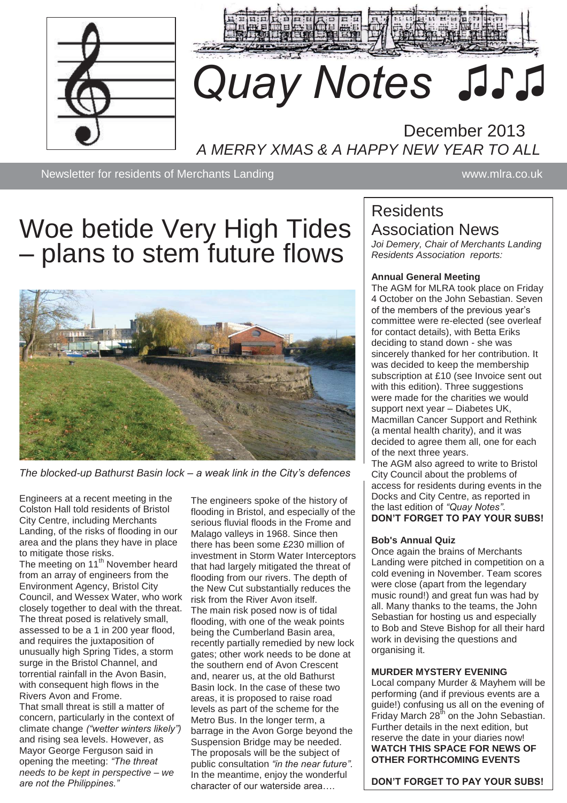



# *Quay Notes ♫♪♫*

# December 2013 *A MERRY XMAS & A HAPPY NEW YEAR TO ALL*

Newsletter for residents of Merchants Landing www.mira.co.uk

# Woe betide Very High Tides – plans to stem future flows



*The blocked-up Bathurst Basin lock – a weak link in the City's defences*

Engineers at a recent meeting in the Colston Hall told residents of Bristol City Centre, including Merchants Landing, of the risks of flooding in our area and the plans they have in place to mitigate those risks.

The meeting on 11<sup>th</sup> November heard from an array of engineers from the Environment Agency, Bristol City Council, and Wessex Water, who work closely together to deal with the threat. The threat posed is relatively small, assessed to be a 1 in 200 year flood, and requires the juxtaposition of unusually high Spring Tides, a storm surge in the Bristol Channel, and torrential rainfall in the Avon Basin, with consequent high flows in the Rivers Avon and Frome.

That small threat is still a matter of concern, particularly in the context of climate change *("wetter winters likely")* and rising sea levels. However, as Mayor George Ferguson said in opening the meeting: *"The threat needs to be kept in perspective – we are not the Philippines."*

The engineers spoke of the history of flooding in Bristol, and especially of the serious fluvial floods in the Frome and Malago valleys in 1968. Since then there has been some £230 million of investment in Storm Water Interceptors that had largely mitigated the threat of flooding from our rivers. The depth of the New Cut substantially reduces the risk from the River Avon itself. The main risk posed now is of tidal flooding, with one of the weak points being the Cumberland Basin area, recently partially remedied by new lock gates; other work needs to be done at the southern end of Avon Crescent and, nearer us, at the old Bathurst Basin lock. In the case of these two areas, it is proposed to raise road levels as part of the scheme for the Metro Bus. In the longer term, a barrage in the Avon Gorge beyond the Suspension Bridge may be needed. The proposals will be the subject of public consultation *"in the near future".*  In the meantime, enjoy the wonderful character of our waterside area….

# **Residents** Association News

*Joi Demery, Chair of Merchants Landing Residents Association reports:*

#### **Annual General Meeting**

The AGM for MLRA took place on Friday 4 October on the John Sebastian. Seven of the members of the previous year's committee were re-elected (see overleaf for contact details), with Betta Eriks deciding to stand down - she was sincerely thanked for her contribution. It was decided to keep the membership subscription at £10 (see Invoice sent out with this edition). Three suggestions were made for the charities we would support next year – Diabetes UK, Macmillan Cancer Support and Rethink (a mental health charity), and it was decided to agree them all, one for each of the next three years.

The AGM also agreed to write to Bristol City Council about the problems of access for residents during events in the Docks and City Centre, as reported in the last edition of *"Quay Notes"*. **DON'T FORGET TO PAY YOUR SUBS!**

#### **Bob's Annual Quiz**

Once again the brains of Merchants Landing were pitched in competition on a cold evening in November. Team scores were close (apart from the legendary music round!) and great fun was had by all. Many thanks to the teams, the John Sebastian for hosting us and especially to Bob and Steve Bishop for all their hard work in devising the questions and organising it.

#### **MURDER MYSTERY EVENING**

Local company Murder & Mayhem will be performing (and if previous events are a guide!) confusing us all on the evening of  $\text{Friday}$  March 28<sup>th</sup> on the John Sebastian. Further details in the next edition, but reserve the date in your diaries now! **WATCH THIS SPACE FOR NEWS OF OTHER FORTHCOMING EVENTS**

**DON'T FORGET TO PAY YOUR SUBS!**